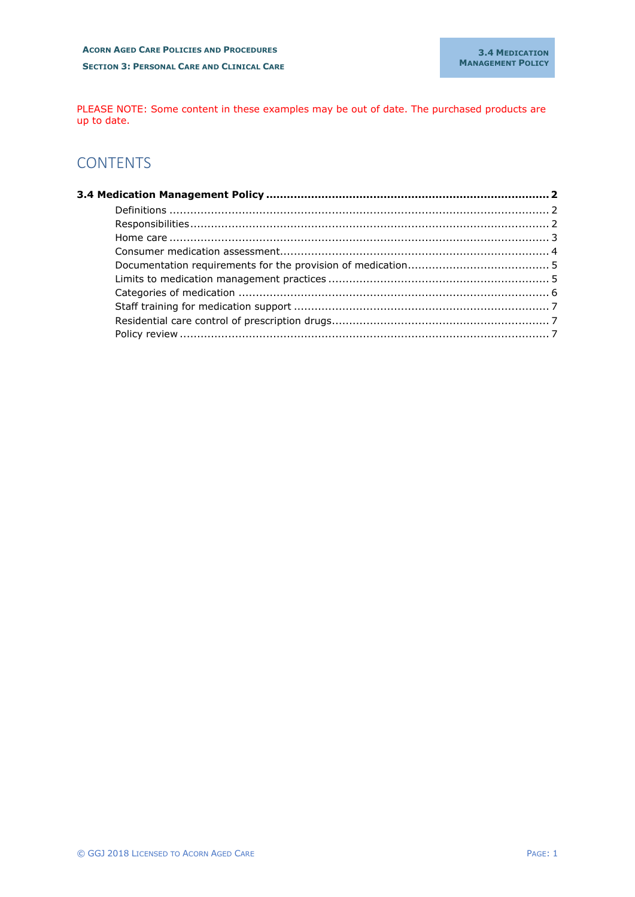PLEASE NOTE: Some content in these examples may be out of date. The purchased products are up to date.

# **CONTENTS**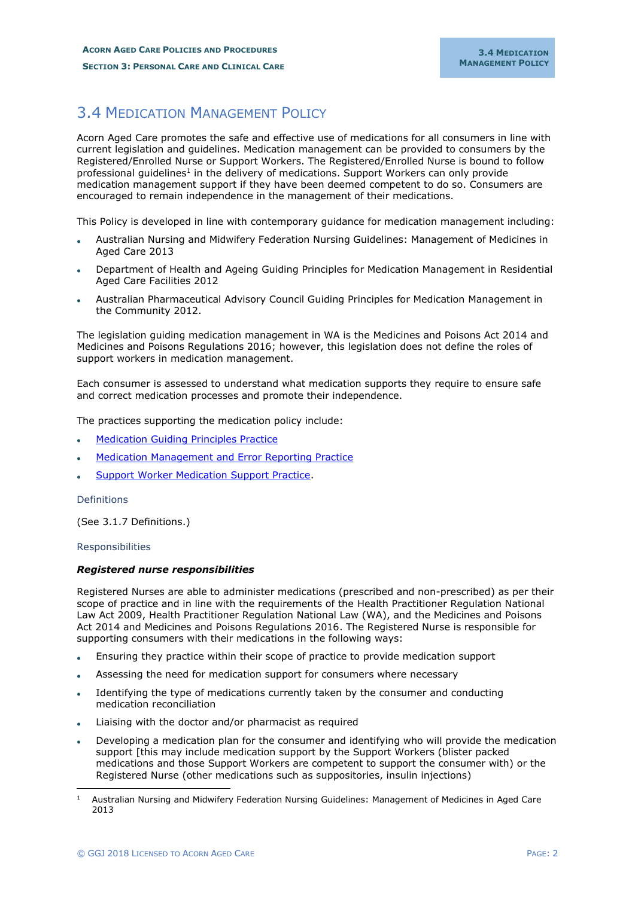# <span id="page-1-0"></span>3.4 MEDICATION MANAGEMENT POLICY

Acorn Aged Care promotes the safe and effective use of medications for all consumers in line with current legislation and guidelines. Medication management can be provided to consumers by the Registered/Enrolled Nurse or Support Workers. The Registered/Enrolled Nurse is bound to follow professional guidelines<sup>1</sup> in the delivery of medications. Support Workers can only provide medication management support if they have been deemed competent to do so. Consumers are encouraged to remain independence in the management of their medications.

This Policy is developed in line with contemporary guidance for medication management including:

- Australian Nursing and Midwifery Federation Nursing Guidelines: Management of Medicines in Aged Care 2013
- Department of Health and Ageing Guiding Principles for Medication Management in Residential Aged Care Facilities 2012
- Australian Pharmaceutical Advisory Council Guiding Principles for Medication Management in the Community 2012.

The legislation guiding medication management in WA is the Medicines and Poisons Act 2014 and Medicines and Poisons Regulations 2016; however, this legislation does not define the roles of support workers in medication management.

Each consumer is assessed to understand what medication supports they require to ensure safe and correct medication processes and promote their independence.

The practices supporting the medication policy include:

- **[Medication Guiding Principles Practice](../../Forms/Practices/Medication%20Management%20Guiding%20Principles%20Practice.docx)**
- **[Medication Management and Error Reporting Practice](../../Forms/Practices/Medication%20Management%20and%20Error%20Reporting%20Practice.docx)**
- [Support Worker Medication Support Practice.](../../Forms/Practices/Support%20Worker%20Medication%20Support%20Practice.docx)

#### <span id="page-1-1"></span>Definitions

(See 3.1.7 Definitions.)

#### <span id="page-1-2"></span>Responsibilities

#### *Registered nurse responsibilities*

Registered Nurses are able to administer medications (prescribed and non-prescribed) as per their scope of practice and in line with the requirements of the Health Practitioner Regulation National Law Act 2009, Health Practitioner Regulation National Law (WA), and the Medicines and Poisons Act 2014 and Medicines and Poisons Regulations 2016. The Registered Nurse is responsible for supporting consumers with their medications in the following ways:

- Ensuring they practice within their scope of practice to provide medication support
- Assessing the need for medication support for consumers where necessary
- Identifying the type of medications currently taken by the consumer and conducting medication reconciliation
- Liaising with the doctor and/or pharmacist as required
- Developing a medication plan for the consumer and identifying who will provide the medication support [this may include medication support by the Support Workers (blister packed medications and those Support Workers are competent to support the consumer with) or the Registered Nurse (other medications such as suppositories, insulin injections)

<sup>1</sup> Australian Nursing and Midwifery Federation Nursing Guidelines: Management of Medicines in Aged Care 2013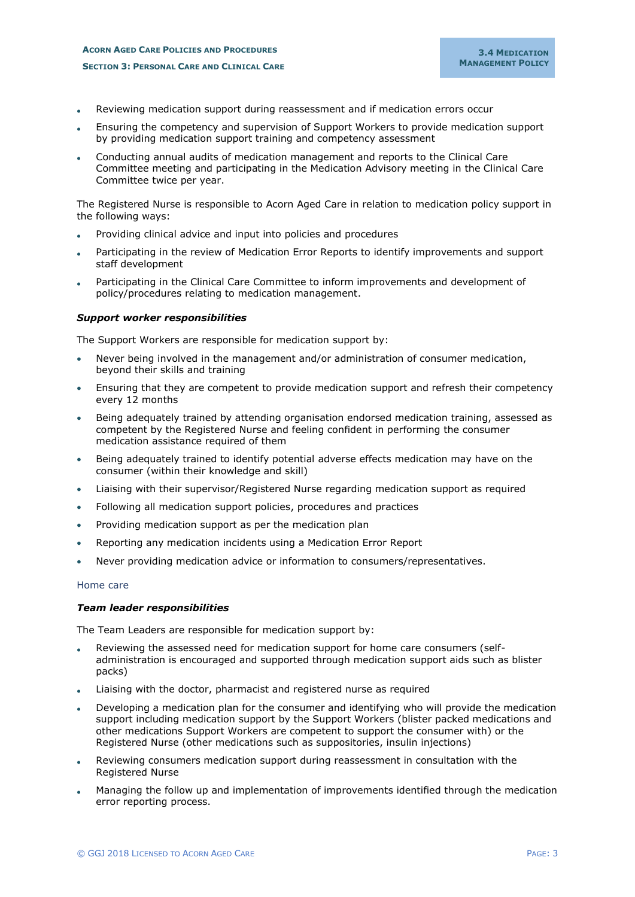# **ACORN AGED CARE POLICIES AND PROCEDURES SECTION 3: PERSONAL CARE AND CLINICAL CARE**

- Reviewing medication support during reassessment and if medication errors occur
- Ensuring the competency and supervision of Support Workers to provide medication support by providing medication support training and competency assessment
- Conducting annual audits of medication management and reports to the Clinical Care Committee meeting and participating in the Medication Advisory meeting in the Clinical Care Committee twice per year.

The Registered Nurse is responsible to Acorn Aged Care in relation to medication policy support in the following ways:

- Providing clinical advice and input into policies and procedures
- Participating in the review of Medication Error Reports to identify improvements and support staff development
- Participating in the Clinical Care Committee to inform improvements and development of policy/procedures relating to medication management.

# *Support worker responsibilities*

The Support Workers are responsible for medication support by:

- Never being involved in the management and/or administration of consumer medication, beyond their skills and training
- Ensuring that they are competent to provide medication support and refresh their competency every 12 months
- Being adequately trained by attending organisation endorsed medication training, assessed as competent by the Registered Nurse and feeling confident in performing the consumer medication assistance required of them
- Being adequately trained to identify potential adverse effects medication may have on the consumer (within their knowledge and skill)
- Liaising with their supervisor/Registered Nurse regarding medication support as required
- Following all medication support policies, procedures and practices
- Providing medication support as per the medication plan
- Reporting any medication incidents using a Medication Error Report
- Never providing medication advice or information to consumers/representatives.

#### <span id="page-2-0"></span>Home care

#### *Team leader responsibilities*

The Team Leaders are responsible for medication support by:

- Reviewing the assessed need for medication support for home care consumers (selfadministration is encouraged and supported through medication support aids such as blister packs)
- Liaising with the doctor, pharmacist and registered nurse as required
- Developing a medication plan for the consumer and identifying who will provide the medication support including medication support by the Support Workers (blister packed medications and other medications Support Workers are competent to support the consumer with) or the Registered Nurse (other medications such as suppositories, insulin injections)
- Reviewing consumers medication support during reassessment in consultation with the Registered Nurse
- Managing the follow up and implementation of improvements identified through the medication error reporting process.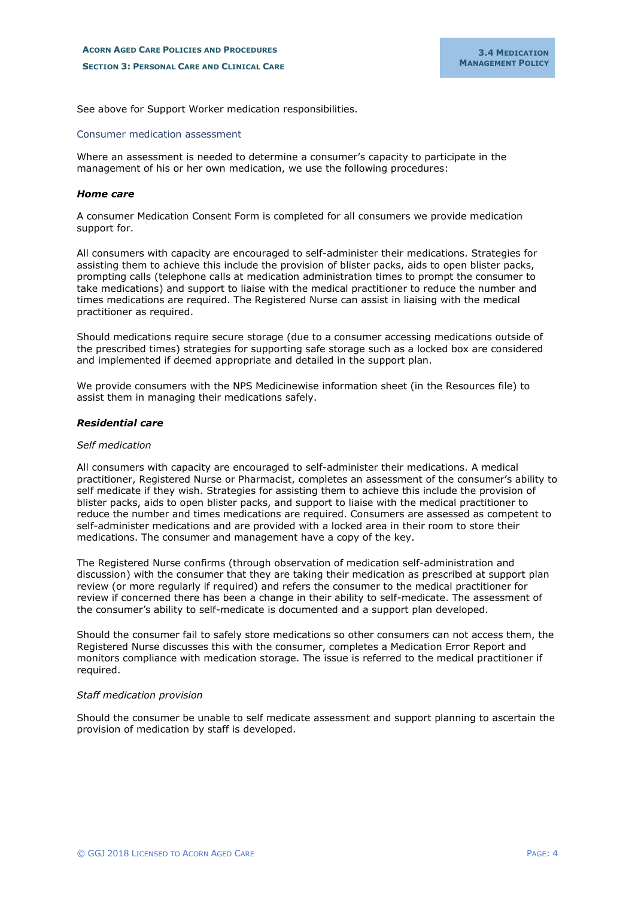See above for Support Worker medication responsibilities.

#### <span id="page-3-0"></span>Consumer medication assessment

Where an assessment is needed to determine a consumer's capacity to participate in the management of his or her own medication, we use the following procedures:

#### *Home care*

A consumer Medication Consent Form is completed for all consumers we provide medication support for.

All consumers with capacity are encouraged to self-administer their medications. Strategies for assisting them to achieve this include the provision of blister packs, aids to open blister packs, prompting calls (telephone calls at medication administration times to prompt the consumer to take medications) and support to liaise with the medical practitioner to reduce the number and times medications are required. The Registered Nurse can assist in liaising with the medical practitioner as required.

Should medications require secure storage (due to a consumer accessing medications outside of the prescribed times) strategies for supporting safe storage such as a locked box are considered and implemented if deemed appropriate and detailed in the support plan.

We provide consumers with the NPS Medicinewise information sheet (in the Resources file) to assist them in managing their medications safely.

#### *Residential care*

#### *Self medication*

All consumers with capacity are encouraged to self-administer their medications. A medical practitioner, Registered Nurse or Pharmacist, completes an assessment of the consumer's ability to self medicate if they wish. Strategies for assisting them to achieve this include the provision of blister packs, aids to open blister packs, and support to liaise with the medical practitioner to reduce the number and times medications are required. Consumers are assessed as competent to self-administer medications and are provided with a locked area in their room to store their medications. The consumer and management have a copy of the key.

The Registered Nurse confirms (through observation of medication self-administration and discussion) with the consumer that they are taking their medication as prescribed at support plan review (or more regularly if required) and refers the consumer to the medical practitioner for review if concerned there has been a change in their ability to self-medicate. The assessment of the consumer's ability to self-medicate is documented and a support plan developed.

Should the consumer fail to safely store medications so other consumers can not access them, the Registered Nurse discusses this with the consumer, completes a Medication Error Report and monitors compliance with medication storage. The issue is referred to the medical practitioner if required.

#### *Staff medication provision*

Should the consumer be unable to self medicate assessment and support planning to ascertain the provision of medication by staff is developed.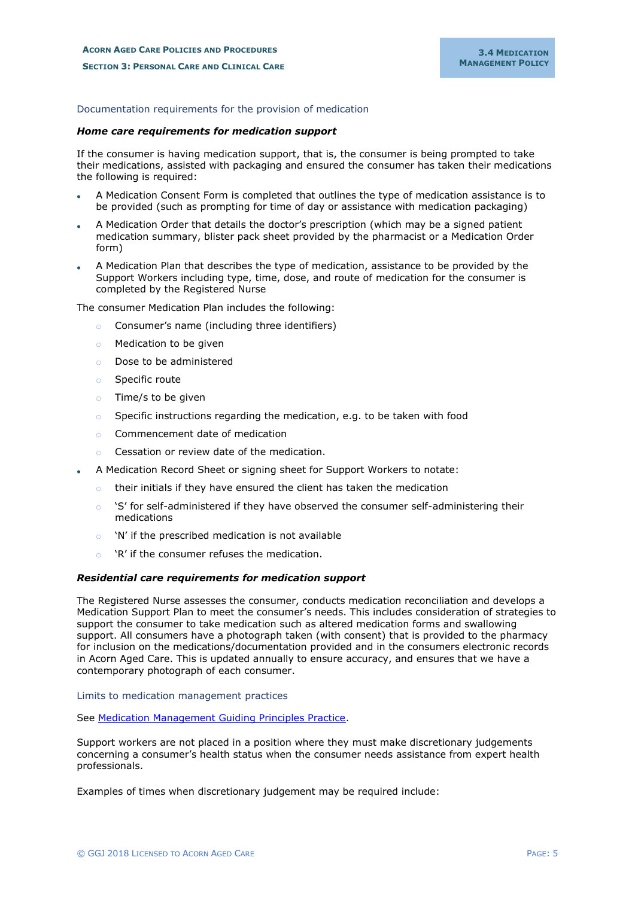# <span id="page-4-0"></span>Documentation requirements for the provision of medication

#### *Home care requirements for medication support*

If the consumer is having medication support, that is, the consumer is being prompted to take their medications, assisted with packaging and ensured the consumer has taken their medications the following is required:

- A Medication Consent Form is completed that outlines the type of medication assistance is to be provided (such as prompting for time of day or assistance with medication packaging)
- A Medication Order that details the doctor's prescription (which may be a signed patient medication summary, blister pack sheet provided by the pharmacist or a Medication Order form)
- A Medication Plan that describes the type of medication, assistance to be provided by the Support Workers including type, time, dose, and route of medication for the consumer is completed by the Registered Nurse

The consumer Medication Plan includes the following:

- Consumer's name (including three identifiers)
- o Medication to be given
- o Dose to be administered
- o Specific route
- o Time/s to be given
- o Specific instructions regarding the medication, e.g. to be taken with food
- o Commencement date of medication
- o Cessation or review date of the medication.
- A Medication Record Sheet or signing sheet for Support Workers to notate:
	- o their initials if they have ensured the client has taken the medication
	- $\circ$  'S' for self-administered if they have observed the consumer self-administering their medications
	- o 'N' if the prescribed medication is not available
	- o 'R' if the consumer refuses the medication.

# *Residential care requirements for medication support*

The Registered Nurse assesses the consumer, conducts medication reconciliation and develops a Medication Support Plan to meet the consumer's needs. This includes consideration of strategies to support the consumer to take medication such as altered medication forms and swallowing support. All consumers have a photograph taken (with consent) that is provided to the pharmacy for inclusion on the medications/documentation provided and in the consumers electronic records in Acorn Aged Care. This is updated annually to ensure accuracy, and ensures that we have a contemporary photograph of each consumer.

<span id="page-4-1"></span>Limits to medication management practices

See Medication Management Guiding Principles Practice.

Support workers are not placed in a position where they must make discretionary judgements concerning a consumer's health status when the consumer needs assistance from expert health professionals.

Examples of times when discretionary judgement may be required include: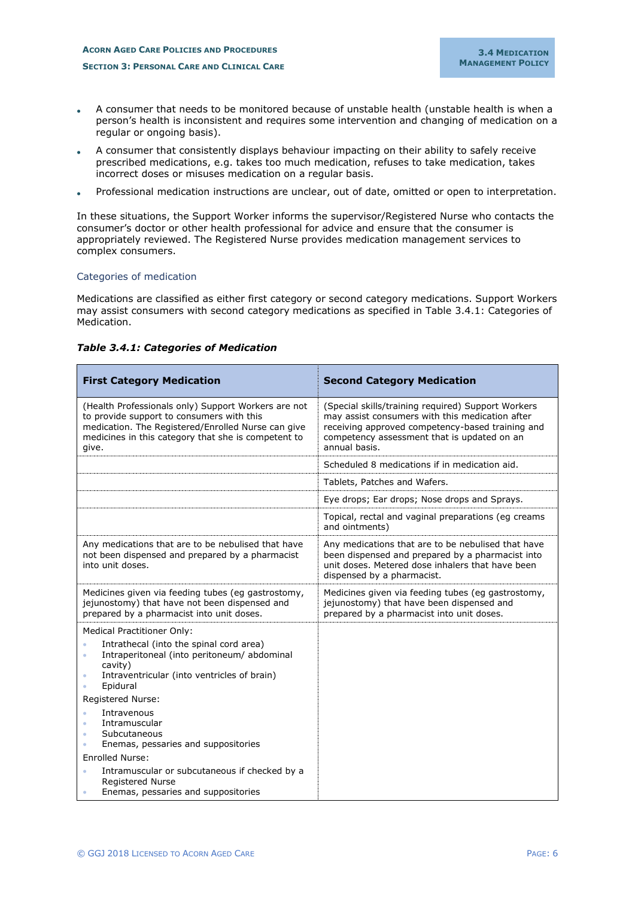- A consumer that needs to be monitored because of unstable health (unstable health is when a person's health is inconsistent and requires some intervention and changing of medication on a regular or ongoing basis).
- A consumer that consistently displays behaviour impacting on their ability to safely receive prescribed medications, e.g. takes too much medication, refuses to take medication, takes incorrect doses or misuses medication on a regular basis.
- Professional medication instructions are unclear, out of date, omitted or open to interpretation.

In these situations, the Support Worker informs the supervisor/Registered Nurse who contacts the consumer's doctor or other health professional for advice and ensure that the consumer is appropriately reviewed. The Registered Nurse provides medication management services to complex consumers.

# <span id="page-5-0"></span>Categories of medication

Medications are classified as either first category or second category medications. Support Workers may assist consumers with second category medications as specified in Table 3.4.1: Categories of Medication.

| <b>First Category Medication</b>                                                                                                                                                                                                                 | <b>Second Category Medication</b>                                                                                                                                                                                         |
|--------------------------------------------------------------------------------------------------------------------------------------------------------------------------------------------------------------------------------------------------|---------------------------------------------------------------------------------------------------------------------------------------------------------------------------------------------------------------------------|
| (Health Professionals only) Support Workers are not<br>to provide support to consumers with this<br>medication. The Registered/Enrolled Nurse can give<br>medicines in this category that she is competent to<br>give.                           | (Special skills/training required) Support Workers<br>may assist consumers with this medication after<br>receiving approved competency-based training and<br>competency assessment that is updated on an<br>annual basis. |
|                                                                                                                                                                                                                                                  | Scheduled 8 medications if in medication aid.                                                                                                                                                                             |
|                                                                                                                                                                                                                                                  | Tablets, Patches and Wafers.                                                                                                                                                                                              |
|                                                                                                                                                                                                                                                  | Eye drops; Ear drops; Nose drops and Sprays.                                                                                                                                                                              |
|                                                                                                                                                                                                                                                  | Topical, rectal and vaginal preparations (eg creams<br>and ointments)                                                                                                                                                     |
| Any medications that are to be nebulised that have<br>not been dispensed and prepared by a pharmacist<br>into unit doses.                                                                                                                        | Any medications that are to be nebulised that have<br>been dispensed and prepared by a pharmacist into<br>unit doses. Metered dose inhalers that have been<br>dispensed by a pharmacist.                                  |
| Medicines given via feeding tubes (eg gastrostomy,<br>jejunostomy) that have not been dispensed and<br>prepared by a pharmacist into unit doses.                                                                                                 | Medicines given via feeding tubes (eg gastrostomy,<br>jejunostomy) that have been dispensed and<br>prepared by a pharmacist into unit doses.                                                                              |
| <b>Medical Practitioner Only:</b><br>Intrathecal (into the spinal cord area)<br>Intraperitoneal (into peritoneum/ abdominal<br>$\bullet$<br>cavity)<br>Intraventricular (into ventricles of brain)<br>$\bullet$<br>Epidural<br>Registered Nurse: |                                                                                                                                                                                                                           |
| Intravenous<br>$\bullet$<br>Intramuscular<br>$\bullet$<br>Subcutaneous<br>٠<br>Enemas, pessaries and suppositories                                                                                                                               |                                                                                                                                                                                                                           |
| <b>Enrolled Nurse:</b>                                                                                                                                                                                                                           |                                                                                                                                                                                                                           |
| Intramuscular or subcutaneous if checked by a<br>$\bullet$<br><b>Registered Nurse</b><br>Enemas, pessaries and suppositories                                                                                                                     |                                                                                                                                                                                                                           |

#### *Table 3.4.1: Categories of Medication*